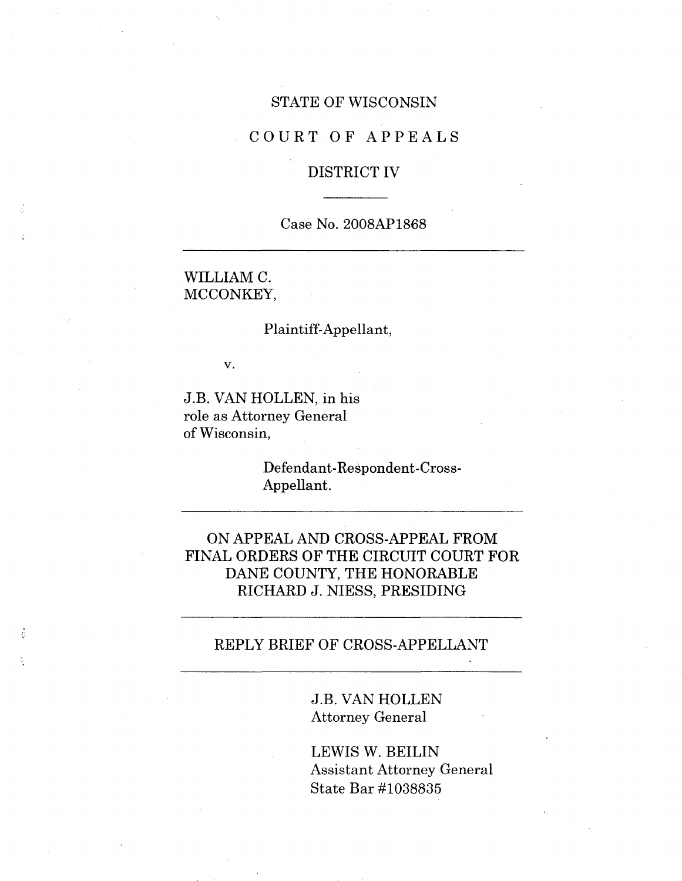#### STATE OF WISCONSIN

### COURT OF APPEALS

## DISTRICT IV

## Case No. 2008AP1868

WILLIAM C. MCCONKEY,

#### Plaintiff-Appellant,

v.

J.B. VAN HOLLEN, in his role as Attorney General of Wisconsin,

> Defendant-Respondent-Cross-Appellant.

ON APPEAL AND CROSS-APPEAL FROM FINAL ORDERS OF THE CIRCUIT COURT FOR DANE COUNTY, THE HONORABLE RICHARD J. NIESS, PRESIDING

## REPLY BRIEF OF CROSS-APPELLANT

J.B. VAN HOLLEN Attorney General

LEWIS W. BEILIN Assistant Attorney General State Bar #1038835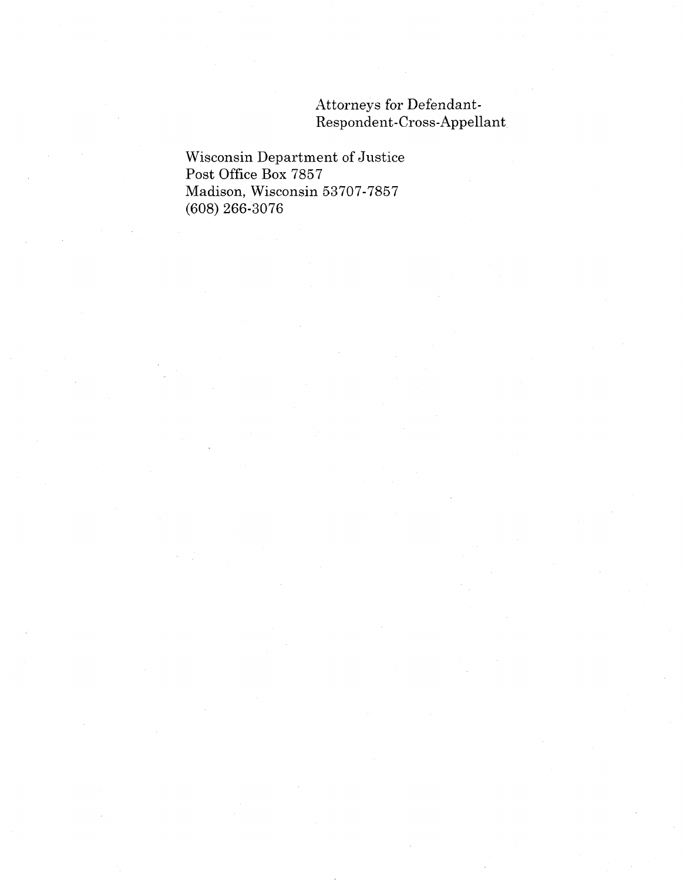Attorneys for Defendant-Respondent-Cross-Appellant

Wisconsin Department of Justice Post Office Box 7857 Madison, Wisconsin 53707-7857 (608) 266-3076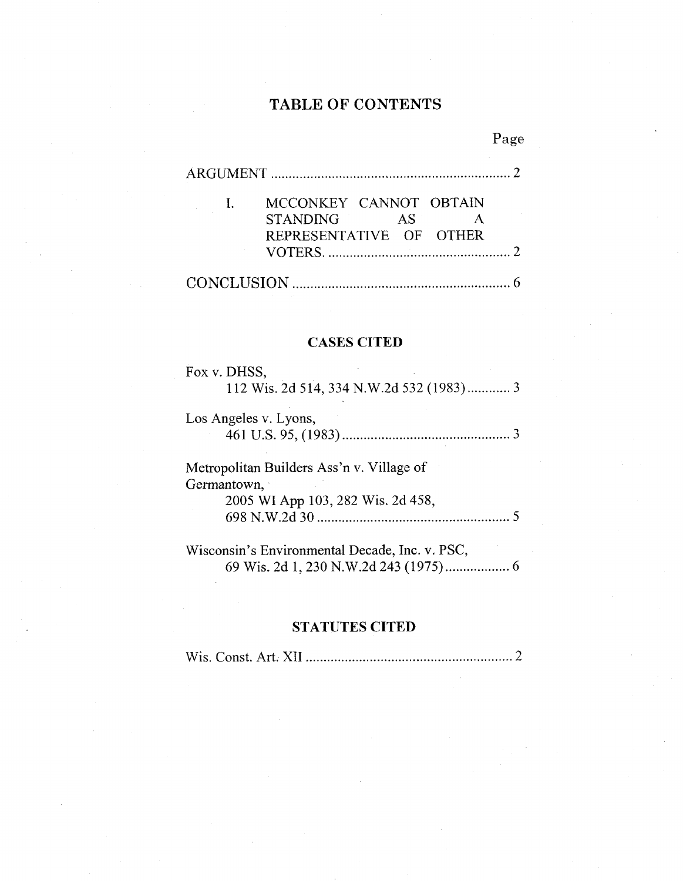# **TABLE OF CONTENTS**

|                         |     | Page |
|-------------------------|-----|------|
|                         |     |      |
| MCCONKEY CANNOT OBTAIN  |     |      |
| <b>STANDING</b>         | AS. |      |
| REPRESENTATIVE OF OTHER |     |      |
|                         |     |      |
|                         |     |      |

#### CASES **CITED**

| Fox v. DHSS. |  |  |  |  |
|--------------|--|--|--|--|
|              |  |  |  |  |
|              |  |  |  |  |

| Los Angeles v. Lyons, |  |
|-----------------------|--|
|                       |  |

Metropolitan Builders Ass'n v. Village of Germantown, 2005 WI App 103, 282 Wis. 2d 458, 698 N.W.2d 30............................. <sup>5</sup>

Wisconsin's Environmental Decade, Inc. v. PSC, 69 Wis. 2d 1, 230 N.W.2d 243(1975)..... <sup>6</sup>

### **STATUTES CITED**

Wis. Const. Art. XII **<sup>2</sup>**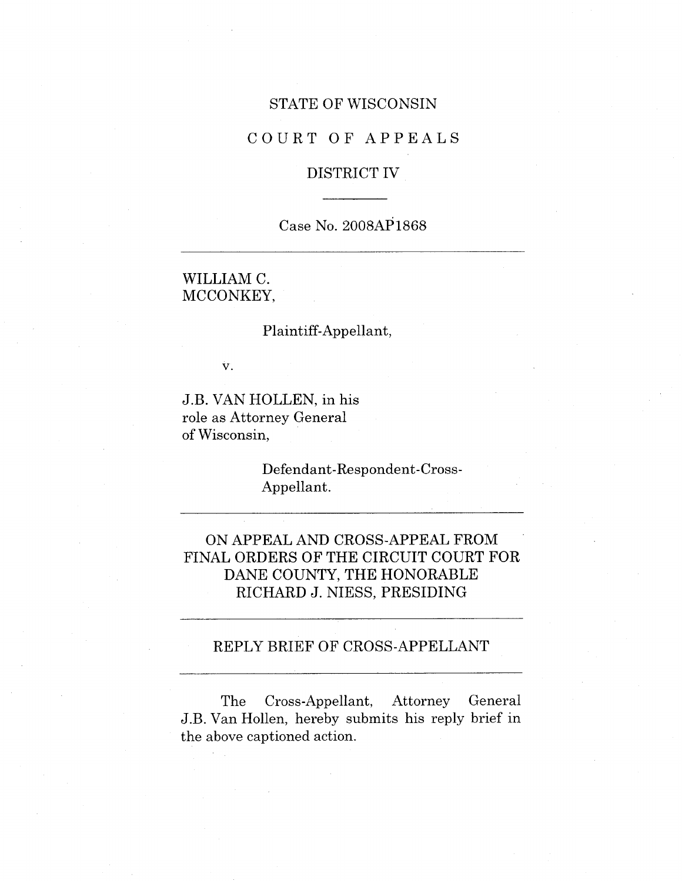#### STATE OF WISCONSIN

### COURT OF APPEALS

### DISTRICT IV

### Case No. 2008AP1868

WILLIAM C. MCCONKEY,

#### Plaintiff-Appellant,

v.

J.B. VAN HOLLEN, in his role as Attorney General of Wisconsin,

> Defendant-Respondent-Cross-Appellant.

ON APPEAL AND CROSS-APPEAL FROM FINAL ORDERS OF THE CIRCUIT COURT FOR DANE COUNTY, THE HONORABLE RICHARD J. NIESS, PRESIDING

### REPLY BRIEF OF CROSS-APPELLANT

The Cross-Appellant, Attorney General J.B. Van Hollen, hereby submits his reply brief in the above captioned action.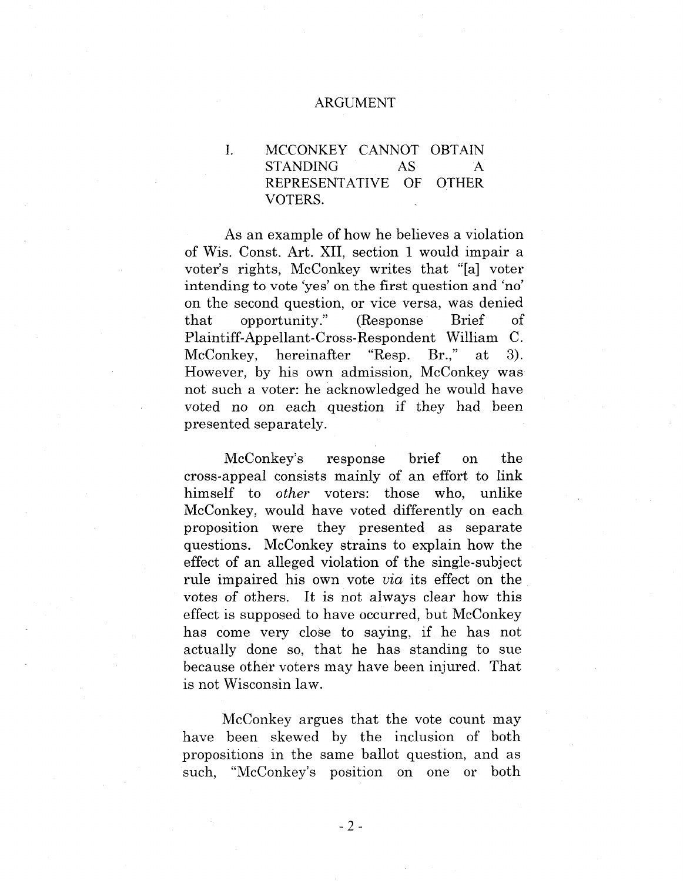#### ARGUMENT

MCCONKEY CANNOT OBTAIN STANDING REPRESENTATIVE OF OTHER VOTERS. I. AS A

As an example of how he believes a violation of Wis. Const. Art. XII, section <sup>1</sup> would impair a voter's rights, McConkey writes that "[a] voter intending to vote 'yes' on the first question and 'no' on the second question, or vice versa, was denied that opportunity." (Response Brief Plaintiff-Appellant-Cross-Respondent William C. McConkey, hereinafter "Resp. Br.," at 3). However, by his own admission, McConkey was not such a voter: he acknowledged he would have voted no on each question if they had been presented separately.

McConkey's response brief on the cross-appeal consists mainly of an effort to link himself to *other* voters: those who, unlike McConkey, would have voted differently on each proposition were they presented as separate questions. McConkey strains to explain how the effect of an alleged violation of the single-subject rule impaired his own vote *via* its effect on the votes of others. It is not always clear how this effect is supposed to have occurred, but McConkey has come very close to saying, if he has not actually done so, that he has standing to sue because other voters may have been injured. That is not Wisconsin law.

McConkey argues that the vote count may have been skewed by the inclusion of both propositions in the same ballot question, and as such, "McConkey's position on one or both

**-2-**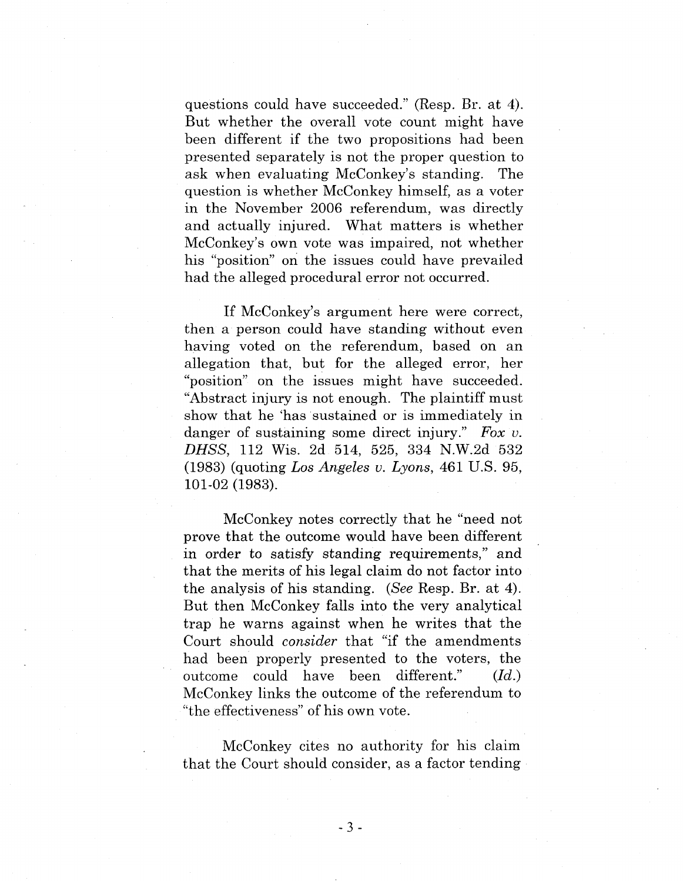questions could have succeeded." (Resp. Br. at 4). But whether the overall vote count might have been different if the two propositions had been presented separately is not the proper question to ask when evaluating McConkey's standing. The question is whether McConkey himself, as a voter in the November 2006 referendum, was directly and actually injured. What matters is whether McConkey's own vote was impaired, not whether his "position" on the issues could have prevailed had the alleged procedural error not occurred.

If McConkey's argument here were correct, then a person could have standing without even having voted on the referendum, based on an allegation that, but for the alleged error, her "position" on the issues might have succeeded. "Abstract injury is not enough. The plaintiff must show that he 'has sustained or is immediately in danger of sustaining some direct injury." *Fox v. DHSS,* 112 Wis. 2d 514, 525, 334 N.W.2d 532 (1983) (quoting *Los Angeles v. Lyons,* 461 U.S. 95, 101-02 (1983).

McConkey notes correctly that he "need not prove that the outcome would have been different in order to satisfy standing requirements," and that the merits of his legal claim do not factor into the analysis of his standing. *(See* Resp. Br. at 4). But then McConkey falls into the very analytical trap he warns against when he writes that the Court should *consider* that "if the amendments had been properly presented to the voters, the outcome could have been different." McConkey links the outcome of the referendum to "the effectiveness" of his own vote. *(Id.)*

McConkey cites no authority for his claim that the Court should consider, as a factor tending

**-3 -**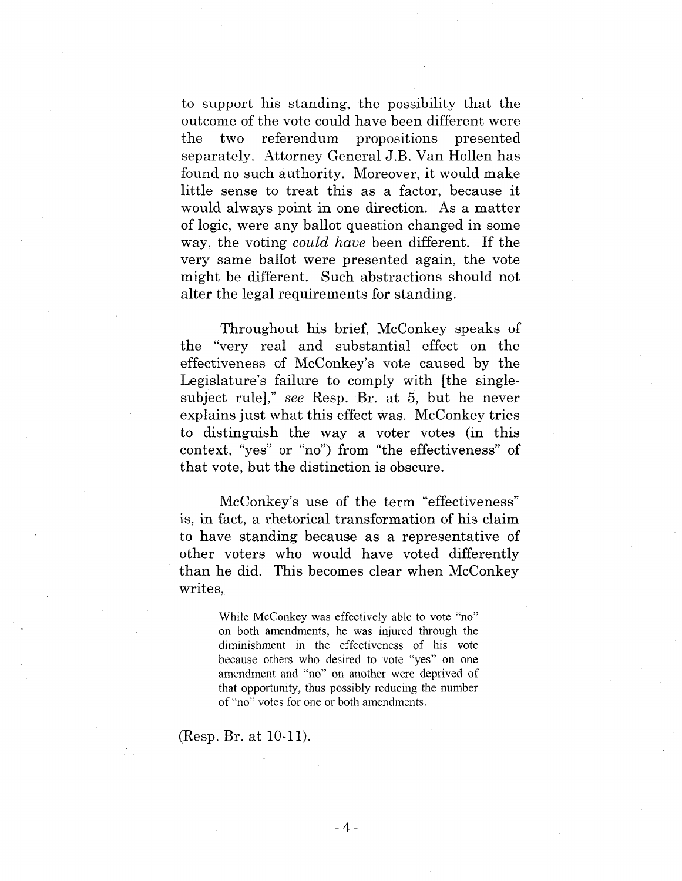to support his standing, the possibility that the outcome of the vote could have been different were the two referendum propositions presented separately. Attorney General J.B. Van Hollen has found no such authority. Moreover, it would make little sense to treat this as <sup>a</sup> factor, because it would always point in one direction. As a matter of logic, were any ballot question changed in some way, the voting *could have* been different. If the very same ballot were presented again, the vote might be different. Such abstractions should not alter the legal requirements for standing.

Throughout his brief, McConkey speaks of the "very real and substantial effect on the effectiveness of MeConkey's vote caused by the Legislature's failure to comply with [the singlesubject rule]," *see* Resp. Br. at 5, but he never explains just what this effect was. McConkey tries to distinguish the way a voter votes (in this context, "yes" or "no") from "the effectiveness" of that vote, but the distinction is obscure.

McConkey's use of the term "effectiveness" is, in fact, a rhetorical transformation of his claim to have standing because as a representative of other voters who would have voted differently than he did. This becomes clear when McConkey writes,

> While McConkey was effectively able to vote "no" on both amendments, he was injured through the diminishment in the effectiveness of his vote because others who desired to vote "yes" on one amendment and "no" on another were deprived of that opportunity, thus possibly reducing the number of"no" votes for one or both amendments.

(Resp. Br. at 10-11).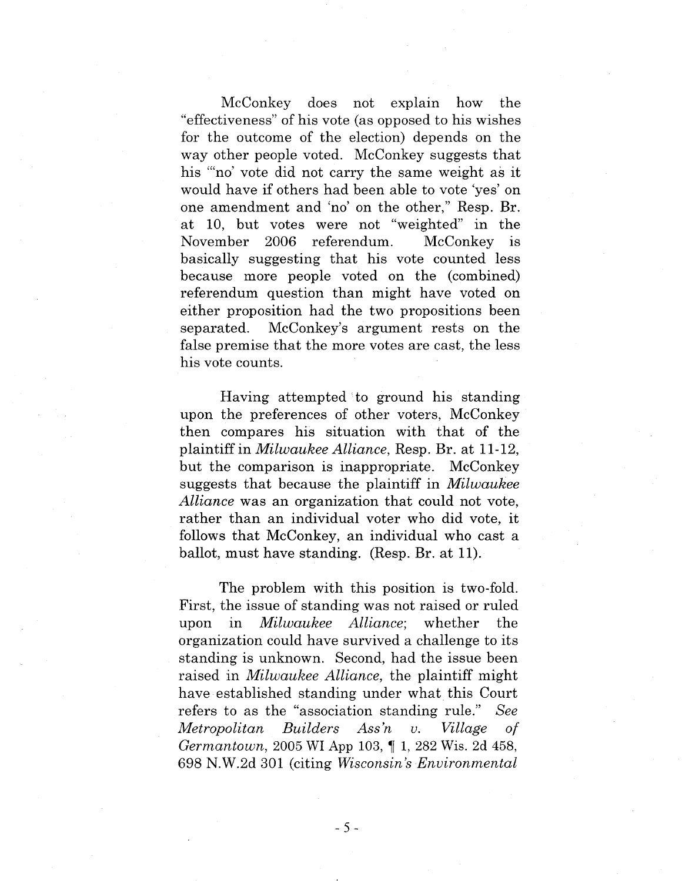McConkey does not explain how the "effectiveness" of his vote (as opposed to his wishes for the outcome of the election) depends on the way other people voted. McConkey suggests that his "'no' vote did not carry the same weight as it would have if others had been able to vote yes' on one amendment and 'no' on the other," Resp. Br. at 10, but votes were not "weighted" in the November 2006 referendum. McConkey is basically suggesting that his vote counted less because more people voted on the (combined) referendum question than might have voted on either proposition had the two propositions been separated. McConkey's argument rests on the false premise that the more votes are cast, the less his vote counts.

Having attempted to ground his standing upon the preferences of other voters, McConkey then compares his situation with that of the plaintiff in *Milwaukee Alliance,* Resp. Br. at 11-12, but the comparison is inappropriate. McConkey suggests that because the plaintiff in *Milwaukee Alliance* was an organization that could not vote, rather than an individual voter who did vote, it follows that McConkey, an individual who cast a ballot, must have standing. (Resp. Br. at 11).

The problem with this position is two-fold. First, the issue of standing was not raised or ruled upon in *Milwaukee Alliance*; whether the organization could have survived a challenge to its standing is unknown. Second, had the issue been raised in *Milwaukee Alliance,* the plaintiff might have established standing under what this Court refers to as the "association standing rule." *See Metropolitan Builders Ass'n u. Village of Germantown,* 2005 WI App 103, 1, 282 Wis. 2d 458, 698 N.W.2d 301 (citing *Wisconsin's Environmental*

**-5-**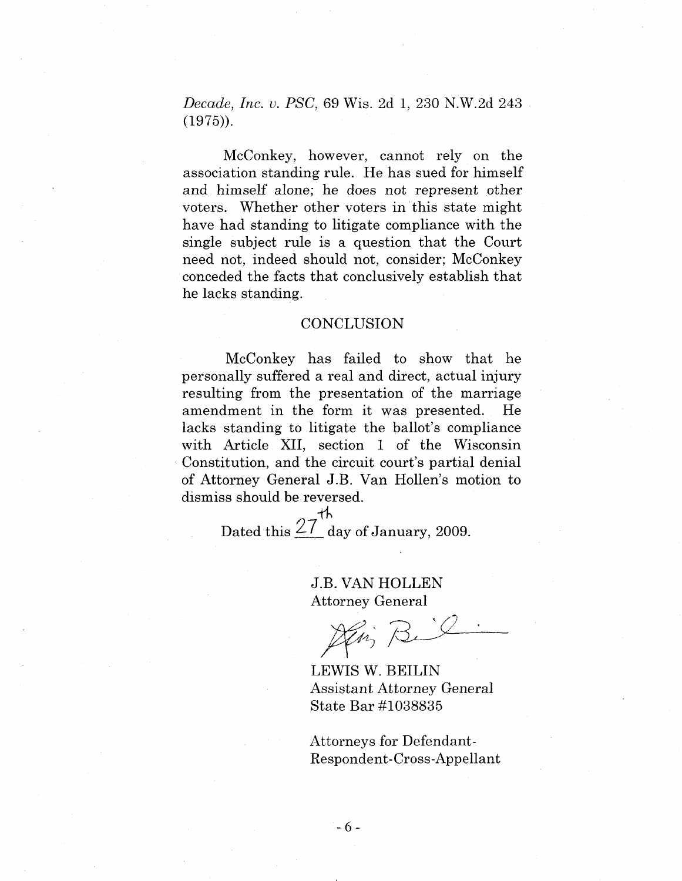*Decade, Inc. v. PSC,* 69 Wis. 2d 1, 230 N.W.2d 243 (1975)).

McConkey, however, cannot rely on the association standing rule. He has sued for himself and himself alone; he does not represent other voters. Whether other voters in this state might have had standing to litigate compliance with the single subject rule is a question that the Court need not, indeed should not, consider; McConkey conceded the facts that conclusively establish that he lacks standing.

#### **CONCLUSION**

McConkey has failed to show that he personally suffered a real and direct, actual injury resulting from the presentation of the marriage amendment in the form it was presented. He lacks standing to litigate the ballot's compliance with Article XII, section <sup>1</sup> of the Wisconsin Constitution, and the circuit court's partial denial of Attorney General J.B. Van Hollen's motion to dismiss should be reversed.

ve<br>th Dated this  $\angle$  / day of January, 2009.

> J.B. VAN HOLLEN Attorney General

*1 1*

LEWIS W. BEILIN Assistant Attorney General State Bar #1038835

Attorneys for Defendant-Respondent-Cross-Appellant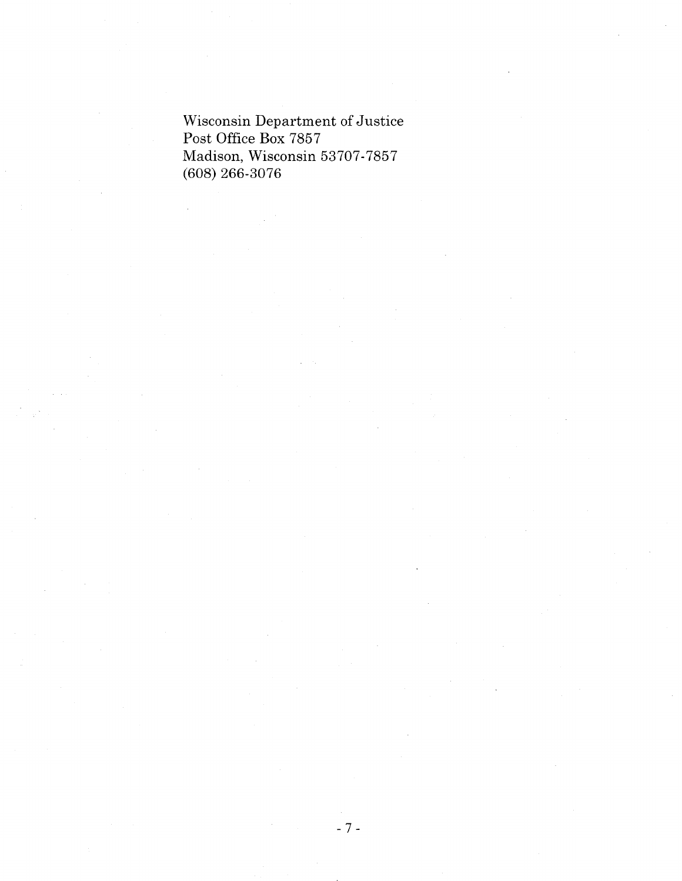Wisconsin Department of Justice Post Office Box 7857 Madison, Wisconsin 53707-7857 (608) 266-3076